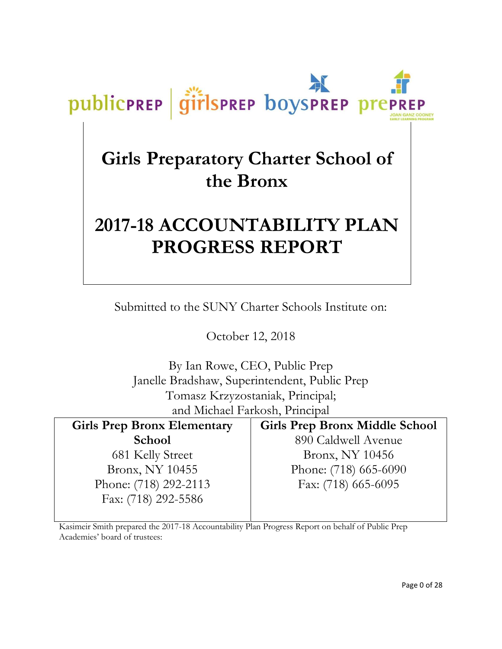# **Girls Preparatory Charter School of the Bronx**

publicPREP

girlsprep boysprep prep

# **2017-18 ACCOUNTABILITY PLAN PROGRESS REPORT**

Submitted to the SUNY Charter Schools Institute on:

October 12, 2018

By Ian Rowe, CEO, Public Prep Janelle Bradshaw, Superintendent, Public Prep Tomasz Krzyzostaniak, Principal; and Michael Farkosh, Principal

| <b>Girls Prep Bronx Elementary</b> | <b>Girls Prep Bronx Middle School</b> |
|------------------------------------|---------------------------------------|
| <b>School</b>                      | 890 Caldwell Avenue                   |
| 681 Kelly Street                   | Bronx, NY 10456                       |
| Bronx, NY 10455                    | Phone: (718) 665-6090                 |
| Phone: (718) 292-2113              | Fax: (718) 665-6095                   |
| Fax: (718) 292-5586                |                                       |

Kasimeir Smith prepared the 2017-18 Accountability Plan Progress Report on behalf of Public Prep Academies' board of trustees: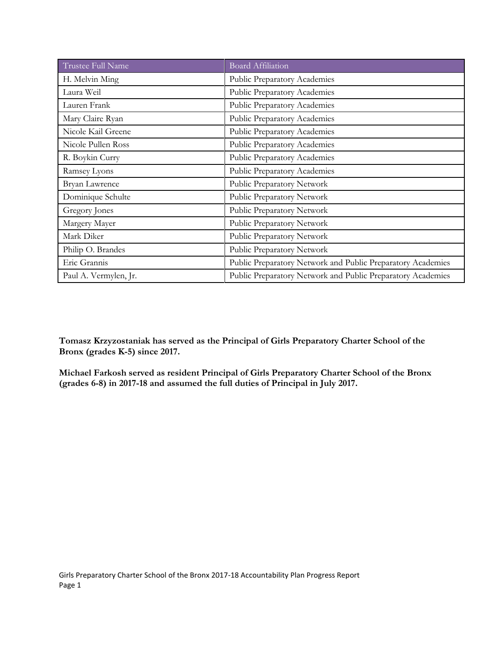| Trustee Full Name     | <b>Board Affiliation</b>                                    |  |  |  |
|-----------------------|-------------------------------------------------------------|--|--|--|
| H. Melvin Ming        | Public Preparatory Academies                                |  |  |  |
| Laura Weil            | Public Preparatory Academies                                |  |  |  |
| Lauren Frank          | Public Preparatory Academies                                |  |  |  |
| Mary Claire Ryan      | Public Preparatory Academies                                |  |  |  |
| Nicole Kail Greene    | Public Preparatory Academies                                |  |  |  |
| Nicole Pullen Ross    | Public Preparatory Academies                                |  |  |  |
| R. Boykin Curry       | Public Preparatory Academies                                |  |  |  |
| Ramsey Lyons          | Public Preparatory Academies                                |  |  |  |
| Bryan Lawrence        | Public Preparatory Network                                  |  |  |  |
| Dominique Schulte     | Public Preparatory Network                                  |  |  |  |
| Gregory Jones         | Public Preparatory Network                                  |  |  |  |
| Margery Mayer         | Public Preparatory Network                                  |  |  |  |
| Mark Diker            | Public Preparatory Network                                  |  |  |  |
| Philip O. Brandes     | Public Preparatory Network                                  |  |  |  |
| Eric Grannis          | Public Preparatory Network and Public Preparatory Academies |  |  |  |
| Paul A. Vermylen, Jr. | Public Preparatory Network and Public Preparatory Academies |  |  |  |

**Tomasz Krzyzostaniak has served as the Principal of Girls Preparatory Charter School of the Bronx (grades K-5) since 2017.**

**Michael Farkosh served as resident Principal of Girls Preparatory Charter School of the Bronx (grades 6-8) in 2017-18 and assumed the full duties of Principal in July 2017.**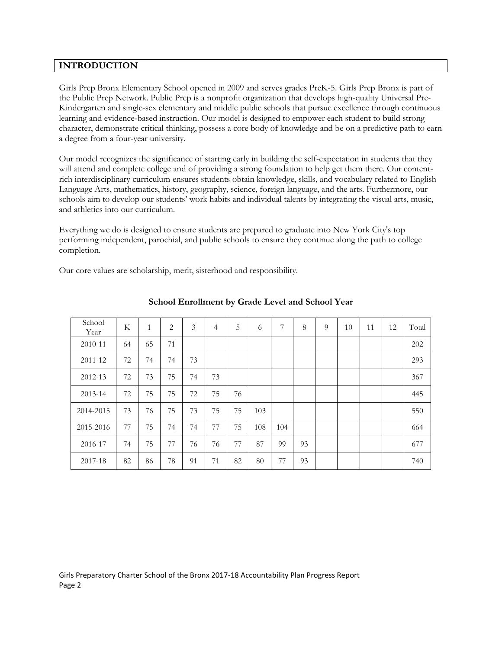# **INTRODUCTION**

Girls Prep Bronx Elementary School opened in 2009 and serves grades PreK-5. Girls Prep Bronx is part of the Public Prep Network. Public Prep is a nonprofit organization that develops high-quality Universal Pre-Kindergarten and single-sex elementary and middle public schools that pursue excellence through continuous learning and evidence-based instruction. Our model is designed to empower each student to build strong character, demonstrate critical thinking, possess a core body of knowledge and be on a predictive path to earn a degree from a four-year university.

Our model recognizes the significance of starting early in building the self-expectation in students that they will attend and complete college and of providing a strong foundation to help get them there. Our contentrich interdisciplinary curriculum ensures students obtain knowledge, skills, and vocabulary related to English Language Arts, mathematics, history, geography, science, foreign language, and the arts. Furthermore, our schools aim to develop our students' work habits and individual talents by integrating the visual arts, music, and athletics into our curriculum.

Everything we do is designed to ensure students are prepared to graduate into New York City's top performing independent, parochial, and public schools to ensure they continue along the path to college completion.

Our core values are scholarship, merit, sisterhood and responsibility.

| School<br>Year | K  | $\mathbf{1}$ | $\overline{c}$ | 3  | $\overline{4}$ | 5  | 6   | 7   | 8  | 9 | 10 | 11 | 12 | Total |
|----------------|----|--------------|----------------|----|----------------|----|-----|-----|----|---|----|----|----|-------|
| 2010-11        | 64 | 65           | 71             |    |                |    |     |     |    |   |    |    |    | 202   |
| 2011-12        | 72 | 74           | 74             | 73 |                |    |     |     |    |   |    |    |    | 293   |
| 2012-13        | 72 | 73           | 75             | 74 | 73             |    |     |     |    |   |    |    |    | 367   |
| 2013-14        | 72 | 75           | 75             | 72 | 75             | 76 |     |     |    |   |    |    |    | 445   |
| 2014-2015      | 73 | 76           | 75             | 73 | 75             | 75 | 103 |     |    |   |    |    |    | 550   |
| 2015-2016      | 77 | 75           | 74             | 74 | 77             | 75 | 108 | 104 |    |   |    |    |    | 664   |
| 2016-17        | 74 | 75           | 77             | 76 | 76             | 77 | 87  | 99  | 93 |   |    |    |    | 677   |
| 2017-18        | 82 | 86           | 78             | 91 | 71             | 82 | 80  | 77  | 93 |   |    |    |    | 740   |

# **School Enrollment by Grade Level and School Year**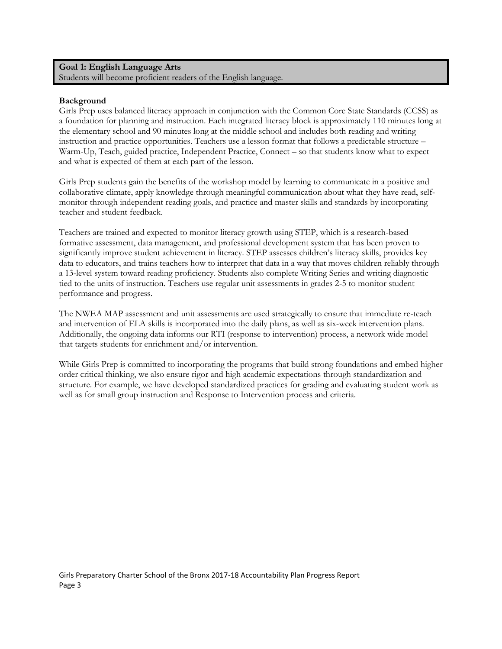#### **Goal 1: English Language Arts** Students will become proficient readers of the English language.

#### **Background**

Girls Prep uses balanced literacy approach in conjunction with the Common Core State Standards (CCSS) as a foundation for planning and instruction. Each integrated literacy block is approximately 110 minutes long at the elementary school and 90 minutes long at the middle school and includes both reading and writing instruction and practice opportunities. Teachers use a lesson format that follows a predictable structure – Warm-Up, Teach, guided practice, Independent Practice, Connect – so that students know what to expect and what is expected of them at each part of the lesson.

Girls Prep students gain the benefits of the workshop model by learning to communicate in a positive and collaborative climate, apply knowledge through meaningful communication about what they have read, selfmonitor through independent reading goals, and practice and master skills and standards by incorporating teacher and student feedback.

Teachers are trained and expected to monitor literacy growth using STEP, which is a research-based formative assessment, data management, and professional development system that has been proven to significantly improve student achievement in literacy. STEP assesses children's literacy skills, provides key data to educators, and trains teachers how to interpret that data in a way that moves children reliably through a 13-level system toward reading proficiency. Students also complete Writing Series and writing diagnostic tied to the units of instruction. Teachers use regular unit assessments in grades 2-5 to monitor student performance and progress.

The NWEA MAP assessment and unit assessments are used strategically to ensure that immediate re-teach and intervention of ELA skills is incorporated into the daily plans, as well as six-week intervention plans. Additionally, the ongoing data informs our RTI (response to intervention) process, a network wide model that targets students for enrichment and/or intervention.

While Girls Prep is committed to incorporating the programs that build strong foundations and embed higher order critical thinking, we also ensure rigor and high academic expectations through standardization and structure. For example, we have developed standardized practices for grading and evaluating student work as well as for small group instruction and Response to Intervention process and criteria.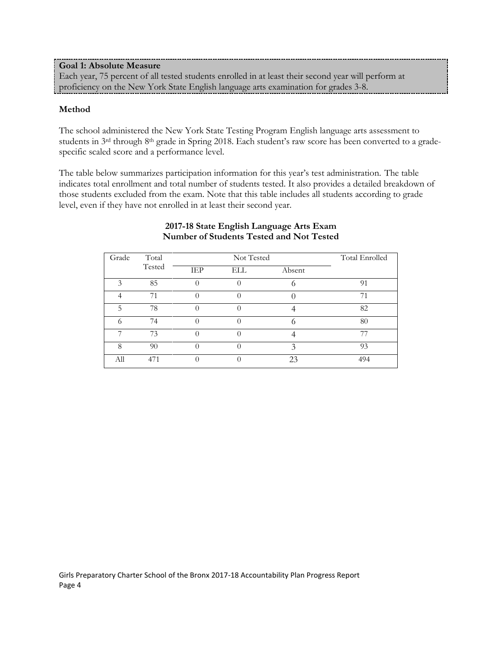**Goal 1: Absolute Measure** Each year, 75 percent of all tested students enrolled in at least their second year will perform at proficiency on the New York State English language arts examination for grades 3-8.

# **Method**

The school administered the New York State Testing Program English language arts assessment to students in 3<sup>rd</sup> through 8<sup>th</sup> grade in Spring 2018. Each student's raw score has been converted to a gradespecific scaled score and a performance level.

The table below summarizes participation information for this year's test administration. The table indicates total enrollment and total number of students tested. It also provides a detailed breakdown of those students excluded from the exam. Note that this table includes all students according to grade level, even if they have not enrolled in at least their second year.

| Grade | Total  |            | Not Tested       |        | Total Enrolled |
|-------|--------|------------|------------------|--------|----------------|
|       | Tested | <b>IEP</b> | ELL              | Absent |                |
| 3     | 85     |            |                  |        | 91             |
|       | 71     |            | $\left( \right)$ |        | 71             |
| 5     | 78     |            |                  |        | 82             |
| 6     | 74     |            |                  |        | 80             |
| ⇁     | 73     |            |                  |        | 77             |
| 8     | 90     |            | $\left( \right)$ | 3      | 93             |
| All   | 471    |            |                  | 23     | 494            |

#### **2017-18 State English Language Arts Exam Number of Students Tested and Not Tested**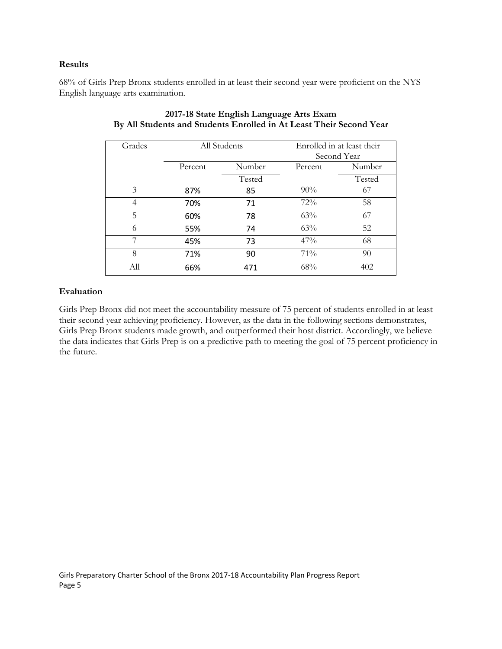#### **Results**

68% of Girls Prep Bronx students enrolled in at least their second year were proficient on the NYS English language arts examination.

| Grades |         | All Students | Enrolled in at least their |             |  |
|--------|---------|--------------|----------------------------|-------------|--|
|        |         |              |                            | Second Year |  |
|        |         |              |                            |             |  |
|        | Percent | Number       | Percent                    | Number      |  |
|        |         | Tested       |                            | Tested      |  |
| 3      | 87%     | 85           | $90\%$                     | 67          |  |
| 4      | 70%     | 71           | 72%                        | 58          |  |
| 5      | 60%     | 78           | 63%                        | 67          |  |
| 6      | 55%     | 74           | 63%                        | 52          |  |
| 7      | 45%     | 73           | 47%                        | 68          |  |
| 8      | 71%     | 90           | $71\%$                     | 90          |  |
| All    | 66%     | 471          | 68%                        | 402         |  |

# **2017-18 State English Language Arts Exam By All Students and Students Enrolled in At Least Their Second Year**

# **Evaluation**

Girls Prep Bronx did not meet the accountability measure of 75 percent of students enrolled in at least their second year achieving proficiency. However, as the data in the following sections demonstrates, Girls Prep Bronx students made growth, and outperformed their host district. Accordingly, we believe the data indicates that Girls Prep is on a predictive path to meeting the goal of 75 percent proficiency in the future.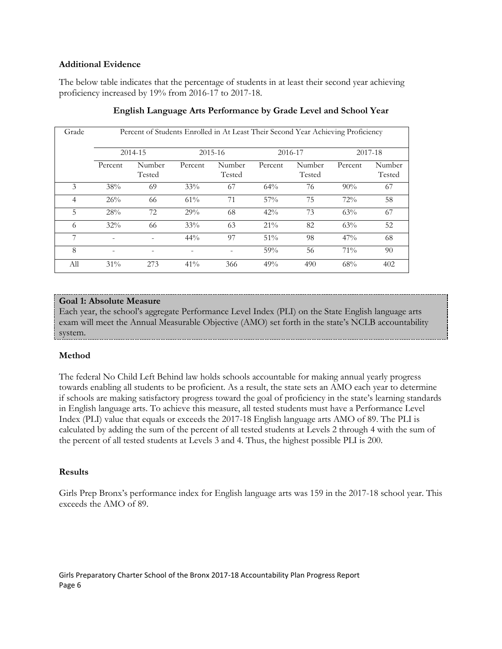### **Additional Evidence**

The below table indicates that the percentage of students in at least their second year achieving proficiency increased by 19% from 2016-17 to 2017-18.

| Grade |                          | Percent of Students Enrolled in At Least Their Second Year Achieving Proficiency |         |                  |         |                  |         |                  |
|-------|--------------------------|----------------------------------------------------------------------------------|---------|------------------|---------|------------------|---------|------------------|
|       |                          |                                                                                  |         |                  |         |                  |         |                  |
|       |                          | 2014-15                                                                          |         | 2015-16          |         | 2016-17          |         | 2017-18          |
|       | Percent                  | Number<br>Tested                                                                 | Percent | Number<br>Tested | Percent | Number<br>Tested | Percent | Number<br>Tested |
| 3     | 38%                      | 69                                                                               | 33%     | 67               | 64%     | 76               | 90%     | 67               |
| 4     | 26%                      | 66                                                                               | 61%     | 71               | 57%     | 75               | 72%     | 58               |
| 5     | 28%                      | 72                                                                               | 29%     | 68               | 42%     | 73               | 63%     | 67               |
| 6     | 32%                      | 66                                                                               | 33%     | 63               | $21\%$  | 82               | 63%     | 52               |
| 7     | ۰                        |                                                                                  | $44\%$  | 97               | 51%     | 98               | 47%     | 68               |
| 8     | $\overline{\phantom{0}}$ |                                                                                  |         |                  | 59%     | 56               | $71\%$  | 90               |
| All   | $31\%$                   | 273                                                                              | $41\%$  | 366              | 49%     | 490              | 68%     | 402              |

# **English Language Arts Performance by Grade Level and School Year**

# **Goal 1: Absolute Measure**

Each year, the school's aggregate Performance Level Index (PLI) on the State English language arts exam will meet the Annual Measurable Objective (AMO) set forth in the state's NCLB accountability system.

# **Method**

The federal No Child Left Behind law holds schools accountable for making annual yearly progress towards enabling all students to be proficient. As a result, the state sets an AMO each year to determine if schools are making satisfactory progress toward the goal of proficiency in the state's learning standards in English language arts. To achieve this measure, all tested students must have a Performance Level Index (PLI) value that equals or exceeds the 2017-18 English language arts AMO of 89. The PLI is calculated by adding the sum of the percent of all tested students at Levels 2 through 4 with the sum of the percent of all tested students at Levels 3 and 4. Thus, the highest possible PLI is 200.

#### **Results**

Girls Prep Bronx's performance index for English language arts was 159 in the 2017-18 school year. This exceeds the AMO of 89.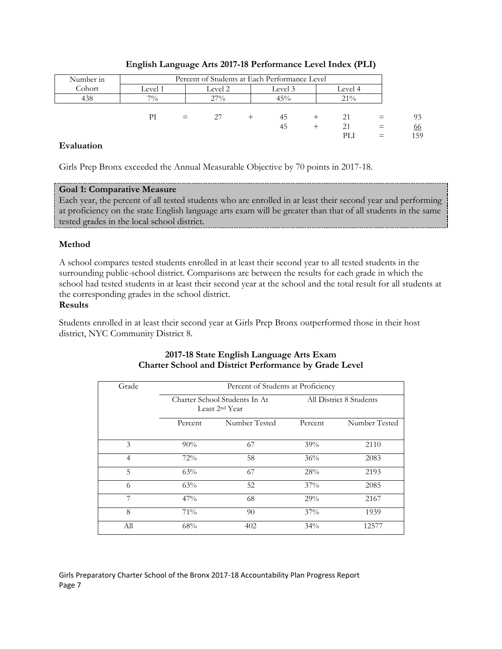| Number in | Percent of Students at Each Performance Level |     |                               |  |     |  |     |     |
|-----------|-----------------------------------------------|-----|-------------------------------|--|-----|--|-----|-----|
| Cohort    | Level 1                                       |     | Level 2<br>Level 3<br>Level 4 |  |     |  |     |     |
| 438       | $7\%$                                         |     | 27%                           |  | 45% |  | 21% |     |
|           |                                               |     |                               |  |     |  |     |     |
|           | PI                                            | $=$ |                               |  | 45  |  | 21  | 93  |
|           |                                               |     |                               |  | 45  |  | 21  | 66  |
|           |                                               |     |                               |  |     |  | PLI | 159 |

# **English Language Arts 2017-18 Performance Level Index (PLI)**

# **Evaluation**

Girls Prep Bronx exceeded the Annual Measurable Objective by 70 points in 2017-18.

# **Goal 1: Comparative Measure**

Each year, the percent of all tested students who are enrolled in at least their second year and performing at proficiency on the state English language arts exam will be greater than that of all students in the same tested grades in the local school district.

# **Method**

A school compares tested students enrolled in at least their second year to all tested students in the surrounding public-school district. Comparisons are between the results for each grade in which the school had tested students in at least their second year at the school and the total result for all students at the corresponding grades in the school district.

# **Results**

Students enrolled in at least their second year at Girls Prep Bronx outperformed those in their host district, NYC Community District 8.

| Grade          |         | Percent of Students at Proficiency                          |         |                         |
|----------------|---------|-------------------------------------------------------------|---------|-------------------------|
|                |         | Charter School Students In At<br>Least 2 <sup>nd</sup> Year |         | All District 8 Students |
|                | Percent | Number Tested                                               | Percent | Number Tested           |
| 3              | 90%     | 67                                                          | 39%     | 2110                    |
| $\overline{4}$ | 72%     | 58                                                          | 36%     | 2083                    |
| 5              | 63%     | 67                                                          | 28%     | 2193                    |
| 6              | 63%     | 52                                                          | 37%     | 2085                    |
| 7              | 47%     | 68                                                          | 29%     | 2167                    |
| 8              | 71%     | 90                                                          | 37%     | 1939                    |
| All            | 68%     | 402                                                         | 34%     | 12577                   |

# **2017-18 State English Language Arts Exam Charter School and District Performance by Grade Level**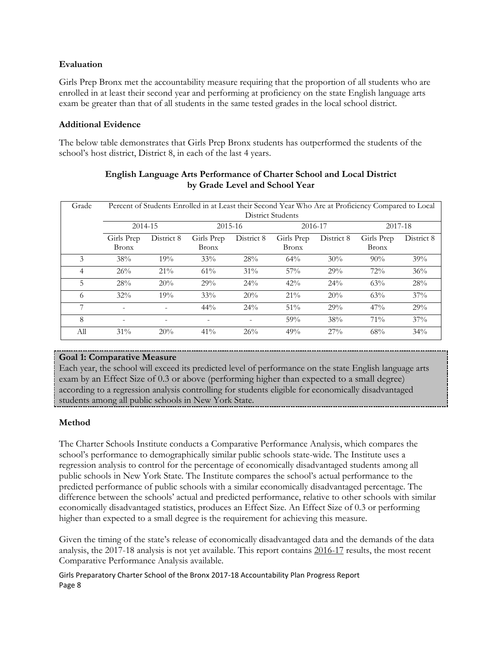# **Evaluation**

Girls Prep Bronx met the accountability measure requiring that the proportion of all students who are enrolled in at least their second year and performing at proficiency on the state English language arts exam be greater than that of all students in the same tested grades in the local school district.

# **Additional Evidence**

The below table demonstrates that Girls Prep Bronx students has outperformed the students of the school's host district, District 8, in each of the last 4 years.

| Grade |                            |            | Percent of Students Enrolled in at Least their Second Year Who Are at Proficiency Compared to Local |            | <b>District Students</b>   |            |                            |            |
|-------|----------------------------|------------|-----------------------------------------------------------------------------------------------------|------------|----------------------------|------------|----------------------------|------------|
|       | 2014-15                    |            |                                                                                                     | 2015-16    | 2016-17                    |            | 2017-18                    |            |
|       | Girls Prep<br><b>Bronx</b> | District 8 | Girls Prep<br><b>Bronx</b>                                                                          | District 8 | Girls Prep<br><b>Bronx</b> | District 8 | Girls Prep<br><b>Bronx</b> | District 8 |
| 3     | 38%                        | 19%        | 33%                                                                                                 | 28%        | 64%                        | 30%        | 90%                        | 39%        |
| 4     | 26%                        | $21\%$     | 61%                                                                                                 | $31\%$     | $57\%$                     | 29%        | 72%                        | 36%        |
| 5     | 28%                        | 20%        | 29%                                                                                                 | 24%        | 42%                        | 24%        | 63%                        | 28%        |
| 6     | 32%                        | 19%        | 33%                                                                                                 | 20%        | 21%                        | 20%        | 63%                        | 37%        |
| 7     | $\overline{\phantom{a}}$   |            | $44\%$                                                                                              | 24%        | 51%                        | 29%        | 47%                        | 29%        |
| 8     | $\overline{\phantom{a}}$   |            |                                                                                                     |            | 59%                        | 38%        | $71\%$                     | $37\%$     |
| All   | 31%                        | 20%        | 41%                                                                                                 | 26%        | 49%                        | 27%        | 68%                        | 34%        |

# **English Language Arts Performance of Charter School and Local District by Grade Level and School Year**

# **Goal 1: Comparative Measure**

Each year, the school will exceed its predicted level of performance on the state English language arts exam by an Effect Size of 0.3 or above (performing higher than expected to a small degree) according to a regression analysis controlling for students eligible for economically disadvantaged students among all public schools in New York State.

# **Method**

The Charter Schools Institute conducts a Comparative Performance Analysis, which compares the school's performance to demographically similar public schools state-wide. The Institute uses a regression analysis to control for the percentage of economically disadvantaged students among all public schools in New York State. The Institute compares the school's actual performance to the predicted performance of public schools with a similar economically disadvantaged percentage. The difference between the schools' actual and predicted performance, relative to other schools with similar economically disadvantaged statistics, produces an Effect Size. An Effect Size of 0.3 or performing higher than expected to a small degree is the requirement for achieving this measure.

Given the timing of the state's release of economically disadvantaged data and the demands of the data analysis, the 2017-18 analysis is not yet available. This report contains 2016-17 results, the most recent Comparative Performance Analysis available.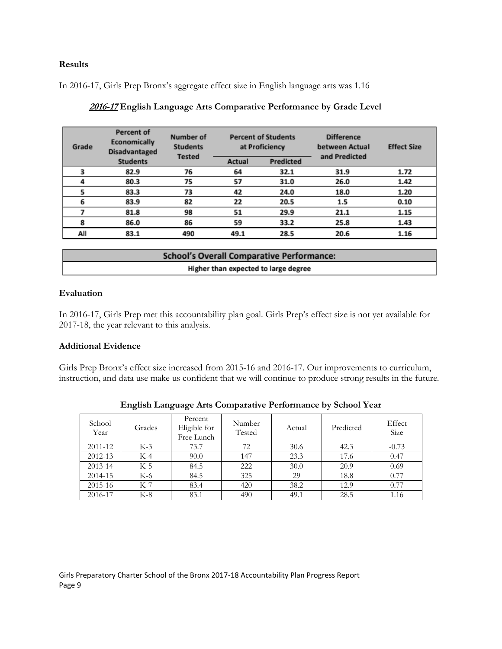# **Results**

In 2016-17, Girls Prep Bronx's aggregate effect size in English language arts was 1.16

| Grade | Percent of<br>Economically<br><b>Disadvantaged</b> | Number of<br><b>Students</b> |        | <b>Percent of Students</b><br>at Proficiency | <b>Difference</b><br><b>Effect Size</b><br>between Actual<br>and Predicted |      |
|-------|----------------------------------------------------|------------------------------|--------|----------------------------------------------|----------------------------------------------------------------------------|------|
|       | <b>Students</b>                                    | <b>Tested</b>                | Actual | Predicted                                    |                                                                            |      |
|       | 82.9                                               | 76                           | 64     | 32.1                                         | 31.9                                                                       | 1.72 |
| 4     | 80.3                                               | 75                           | 57     | 31.0                                         | 26.0                                                                       | 1.42 |
| 5     | 83.3                                               | 73                           | 42     | 24.0                                         | 18.0                                                                       | 1.20 |
| 6     | 83.9                                               | 82                           | 22     | 20.5                                         | 1.5                                                                        | 0.10 |
|       | 81.8                                               | 98                           | 51     | 29.9                                         | 21.1                                                                       | 1.15 |
| 8     | 86.0                                               | 86                           | 59     | 33.2                                         | 25.8                                                                       | 1.43 |
| All   | 83.1                                               | 490                          | 49.1   | 28.5                                         | 20.6                                                                       | 1.16 |
|       |                                                    |                              |        |                                              |                                                                            |      |

|  | 2016-17 English Language Arts Comparative Performance by Grade Level |
|--|----------------------------------------------------------------------|
|  |                                                                      |

| <b>School's Overall Comparative Performance:</b> |
|--------------------------------------------------|
| Higher than expected to large degree             |

# **Evaluation**

In 2016-17, Girls Prep met this accountability plan goal. Girls Prep's effect size is not yet available for 2017-18, the year relevant to this analysis.

#### **Additional Evidence**

Girls Prep Bronx's effect size increased from 2015-16 and 2016-17. Our improvements to curriculum, instruction, and data use make us confident that we will continue to produce strong results in the future.

| School<br>Year | Grades | Percent<br>Eligible for<br>Free Lunch | Number<br>Tested | Actual | Predicted | Effect<br>Size |
|----------------|--------|---------------------------------------|------------------|--------|-----------|----------------|
| 2011-12        | $K-3$  | 73.7                                  | 72               | 30.6   | 42.3      | $-0.73$        |
| 2012-13        | $K-4$  | 90.0                                  | 147              | 23.3   | 17.6      | 0.47           |
| 2013-14        | $K-5$  | 84.5                                  | 222              | 30.0   | 20.9      | 0.69           |
| 2014-15        | K-6    | 84.5                                  | 325              | 29     | 18.8      | 0.77           |
| 2015-16        | $K-7$  | 83.4                                  | 420              | 38.2   | 12.9      | 0.77           |
| 2016-17        | $K-8$  | 83.1                                  | 490              | 49.1   | 28.5      | 1.16           |

| English Language Arts Comparative Performance by School Year |  |  |
|--------------------------------------------------------------|--|--|
|                                                              |  |  |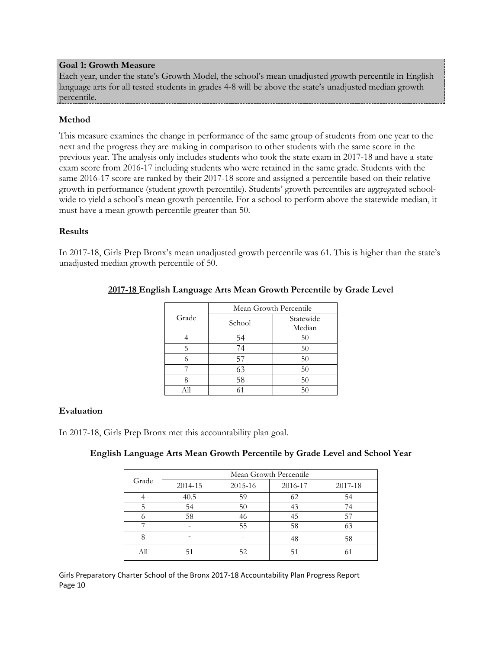### **Goal 1: Growth Measure**

Each year, under the state's Growth Model, the school's mean unadjusted growth percentile in English language arts for all tested students in grades 4-8 will be above the state's unadjusted median growth percentile.

# **Method**

This measure examines the change in performance of the same group of students from one year to the next and the progress they are making in comparison to other students with the same score in the previous year. The analysis only includes students who took the state exam in 2017-18 and have a state exam score from 2016-17 including students who were retained in the same grade. Students with the same 2016-17 score are ranked by their 2017-18 score and assigned a percentile based on their relative growth in performance (student growth percentile). Students' growth percentiles are aggregated schoolwide to yield a school's mean growth percentile. For a school to perform above the statewide median, it must have a mean growth percentile greater than 50.

# **Results**

In 2017-18, Girls Prep Bronx's mean unadjusted growth percentile was 61. This is higher than the state's unadjusted median growth percentile of 50.

|       | Mean Growth Percentile |           |  |  |  |  |
|-------|------------------------|-----------|--|--|--|--|
| Grade | School                 | Statewide |  |  |  |  |
|       |                        | Median    |  |  |  |  |
|       | 54                     | 50        |  |  |  |  |
| 5     | 74                     | 50        |  |  |  |  |
|       | 57                     | 50        |  |  |  |  |
|       | 63                     | 50        |  |  |  |  |
|       | 58                     | 50        |  |  |  |  |
|       |                        | 50        |  |  |  |  |

# **2017-18 English Language Arts Mean Growth Percentile by Grade Level**

#### **Evaluation**

In 2017-18, Girls Prep Bronx met this accountability plan goal.

#### **English Language Arts Mean Growth Percentile by Grade Level and School Year**

|       | Mean Growth Percentile |         |         |         |  |  |  |  |
|-------|------------------------|---------|---------|---------|--|--|--|--|
| Grade | 2014-15                | 2015-16 | 2016-17 | 2017-18 |  |  |  |  |
|       | 40.5                   | 59      | 62      | 54      |  |  |  |  |
|       | 54                     | 50      | 43      | 74      |  |  |  |  |
|       | 58                     |         | 45      | 57      |  |  |  |  |
|       |                        | 55      | 58      | 63      |  |  |  |  |
|       |                        |         | 48      | 58      |  |  |  |  |
|       |                        | 52      | 51      |         |  |  |  |  |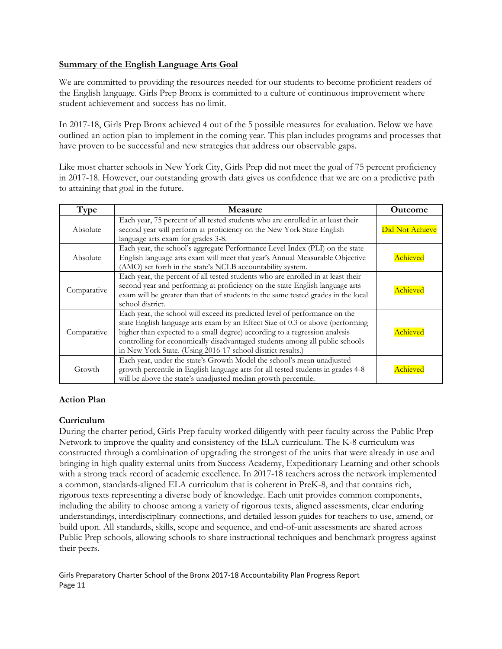# **Summary of the English Language Arts Goal**

We are committed to providing the resources needed for our students to become proficient readers of the English language. Girls Prep Bronx is committed to a culture of continuous improvement where student achievement and success has no limit.

In 2017-18, Girls Prep Bronx achieved 4 out of the 5 possible measures for evaluation. Below we have outlined an action plan to implement in the coming year. This plan includes programs and processes that have proven to be successful and new strategies that address our observable gaps.

Like most charter schools in New York City, Girls Prep did not meet the goal of 75 percent proficiency in 2017-18. However, our outstanding growth data gives us confidence that we are on a predictive path to attaining that goal in the future.

| Type        | Measure                                                                                                                                                                                                                                                                                                                                                                                    | <b>Outcome</b>  |
|-------------|--------------------------------------------------------------------------------------------------------------------------------------------------------------------------------------------------------------------------------------------------------------------------------------------------------------------------------------------------------------------------------------------|-----------------|
| Absolute    | Each year, 75 percent of all tested students who are enrolled in at least their<br>second year will perform at proficiency on the New York State English<br>language arts exam for grades 3-8.                                                                                                                                                                                             | Did Not Achieve |
| Absolute    | Each year, the school's aggregate Performance Level Index (PLI) on the state<br>English language arts exam will meet that year's Annual Measurable Objective<br>(AMO) set forth in the state's NCLB accountability system.                                                                                                                                                                 | Achieved        |
| Comparative | Each year, the percent of all tested students who are enrolled in at least their<br>second year and performing at proficiency on the state English language arts<br>exam will be greater than that of students in the same tested grades in the local<br>school district.                                                                                                                  | Achieved        |
| Comparative | Each year, the school will exceed its predicted level of performance on the<br>state English language arts exam by an Effect Size of 0.3 or above (performing<br>higher than expected to a small degree) according to a regression analysis<br>controlling for economically disadvantaged students among all public schools<br>in New York State. (Using 2016-17 school district results.) | Achieved        |
| Growth      | Each year, under the state's Growth Model the school's mean unadjusted<br>growth percentile in English language arts for all tested students in grades 4-8<br>will be above the state's unadjusted median growth percentile.                                                                                                                                                               | <b>\chievec</b> |

# **Action Plan**

#### **Curriculum**

During the charter period, Girls Prep faculty worked diligently with peer faculty across the Public Prep Network to improve the quality and consistency of the ELA curriculum. The K-8 curriculum was constructed through a combination of upgrading the strongest of the units that were already in use and bringing in high quality external units from Success Academy, Expeditionary Learning and other schools with a strong track record of academic excellence. In 2017-18 teachers across the network implemented a common, standards-aligned ELA curriculum that is coherent in PreK-8, and that contains rich, rigorous texts representing a diverse body of knowledge. Each unit provides common components, including the ability to choose among a variety of rigorous texts, aligned assessments, clear enduring understandings, interdisciplinary connections, and detailed lesson guides for teachers to use, amend, or build upon. All standards, skills, scope and sequence, and end-of-unit assessments are shared across Public Prep schools, allowing schools to share instructional techniques and benchmark progress against their peers.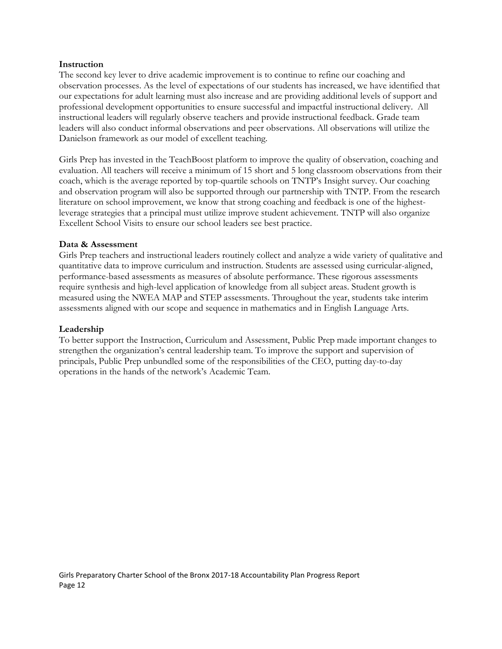#### **Instruction**

The second key lever to drive academic improvement is to continue to refine our coaching and observation processes. As the level of expectations of our students has increased, we have identified that our expectations for adult learning must also increase and are providing additional levels of support and professional development opportunities to ensure successful and impactful instructional delivery. All instructional leaders will regularly observe teachers and provide instructional feedback. Grade team leaders will also conduct informal observations and peer observations. All observations will utilize the Danielson framework as our model of excellent teaching.

Girls Prep has invested in the TeachBoost platform to improve the quality of observation, coaching and evaluation. All teachers will receive a minimum of 15 short and 5 long classroom observations from their coach, which is the average reported by top-quartile schools on TNTP's Insight survey. Our coaching and observation program will also be supported through our partnership with TNTP. From the research literature on school improvement, we know that strong coaching and feedback is one of the highestleverage strategies that a principal must utilize improve student achievement. TNTP will also organize Excellent School Visits to ensure our school leaders see best practice.

#### **Data & Assessment**

Girls Prep teachers and instructional leaders routinely collect and analyze a wide variety of qualitative and quantitative data to improve curriculum and instruction. Students are assessed using curricular-aligned, performance-based assessments as measures of absolute performance. These rigorous assessments require synthesis and high-level application of knowledge from all subject areas. Student growth is measured using the NWEA MAP and STEP assessments. Throughout the year, students take interim assessments aligned with our scope and sequence in mathematics and in English Language Arts.

#### **Leadership**

To better support the Instruction, Curriculum and Assessment, Public Prep made important changes to strengthen the organization's central leadership team. To improve the support and supervision of principals, Public Prep unbundled some of the responsibilities of the CEO, putting day-to-day operations in the hands of the network's Academic Team.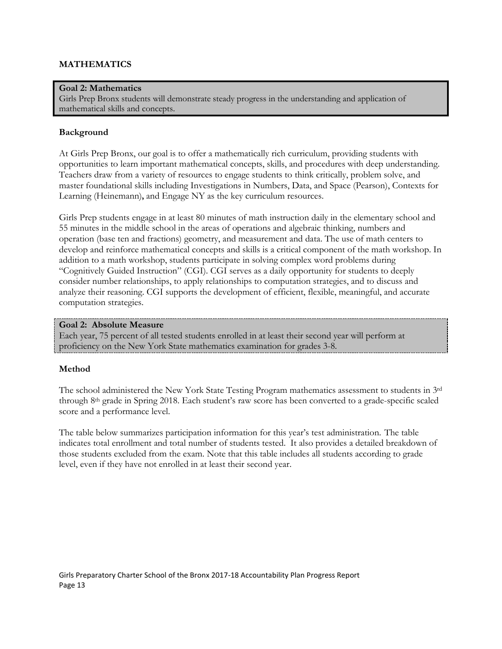# **MATHEMATICS**

#### **Goal 2: Mathematics**

Girls Prep Bronx students will demonstrate steady progress in the understanding and application of mathematical skills and concepts.

#### **Background**

At Girls Prep Bronx, our goal is to offer a mathematically rich curriculum, providing students with opportunities to learn important mathematical concepts, skills, and procedures with deep understanding. Teachers draw from a variety of resources to engage students to think critically, problem solve, and master foundational skills including Investigations in Numbers, Data, and Space (Pearson), Contexts for Learning (Heinemann)**,** and Engage NY as the key curriculum resources.

Girls Prep students engage in at least 80 minutes of math instruction daily in the elementary school and 55 minutes in the middle school in the areas of operations and algebraic thinking, numbers and operation (base ten and fractions) geometry, and measurement and data. The use of math centers to develop and reinforce mathematical concepts and skills is a critical component of the math workshop. In addition to a math workshop, students participate in solving complex word problems during "Cognitively Guided Instruction" (CGI). CGI serves as a daily opportunity for students to deeply consider number relationships, to apply relationships to computation strategies, and to discuss and analyze their reasoning. CGI supports the development of efficient, flexible, meaningful, and accurate computation strategies.

#### **Goal 2: Absolute Measure**

Each year, 75 percent of all tested students enrolled in at least their second year will perform at proficiency on the New York State mathematics examination for grades 3-8.

#### **Method**

The school administered the New York State Testing Program mathematics assessment to students in 3rd through 8th grade in Spring 2018. Each student's raw score has been converted to a grade-specific scaled score and a performance level.

The table below summarizes participation information for this year's test administration. The table indicates total enrollment and total number of students tested. It also provides a detailed breakdown of those students excluded from the exam. Note that this table includes all students according to grade level, even if they have not enrolled in at least their second year.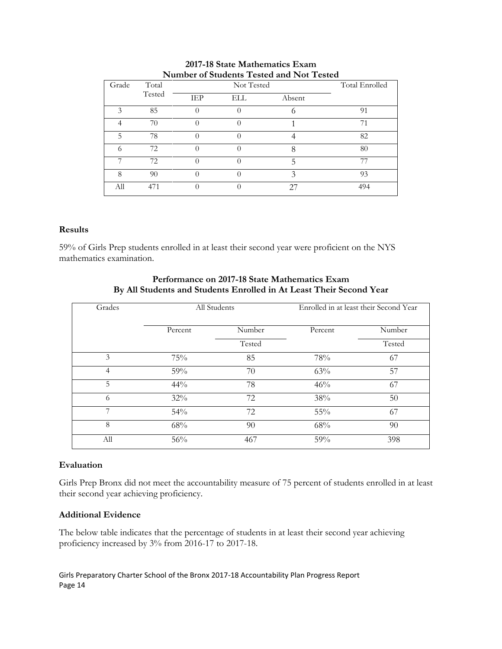| Grade         | Total  |     | Not Tested |        | Total Enrolled |
|---------------|--------|-----|------------|--------|----------------|
|               | Tested | IEP | ELL        | Absent |                |
| $\mathcal{Z}$ | 85     |     |            | O      | 91             |
|               | 70     |     |            |        | 71             |
| 5             | 78     |     |            |        | 82             |
|               | 72     |     | $\left($   |        | 80             |
|               | 72     |     | $\Box$     | 5      | 77             |
| 8             | 90     |     |            | 2      | 93             |
| All           | 471    |     |            | 27     | 494            |

# **2017-18 State Mathematics Exam Number of Students Tested and Not Tested**

# **Results**

59% of Girls Prep students enrolled in at least their second year were proficient on the NYS mathematics examination.

# **Performance on 2017-18 State Mathematics Exam By All Students and Students Enrolled in At Least Their Second Year**

| Grades         |         | All Students |         | Enrolled in at least their Second Year |  |
|----------------|---------|--------------|---------|----------------------------------------|--|
|                | Percent | Number       | Percent | Number                                 |  |
|                |         | Tested       |         | Tested                                 |  |
| 3              | 75%     | 85           | 78%     | 67                                     |  |
| $\overline{4}$ | 59%     | 70           | 63%     | 57                                     |  |
| 5              | 44%     | 78           | 46%     | 67                                     |  |
| 6              | 32%     | 72           | 38%     | 50                                     |  |
| 7              | 54%     | 72           | 55%     | 67                                     |  |
| 8              | 68%     | 90           | 68%     | 90                                     |  |
| All            | 56%     | 467          | 59%     | 398                                    |  |

# **Evaluation**

Girls Prep Bronx did not meet the accountability measure of 75 percent of students enrolled in at least their second year achieving proficiency.

# **Additional Evidence**

The below table indicates that the percentage of students in at least their second year achieving proficiency increased by 3% from 2016-17 to 2017-18.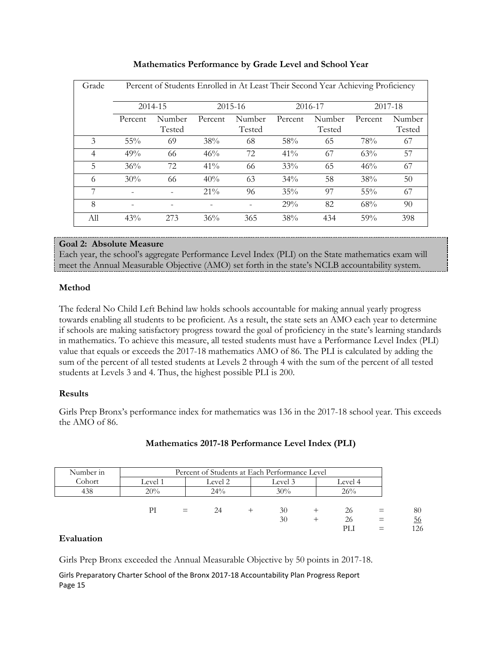| Grade          | Percent of Students Enrolled in At Least Their Second Year Achieving Proficiency |                  |         |                  |         |                  |         |                  |  |  |
|----------------|----------------------------------------------------------------------------------|------------------|---------|------------------|---------|------------------|---------|------------------|--|--|
|                |                                                                                  | 2014-15          |         | $2015 - 16$      |         | 2016-17          | 2017-18 |                  |  |  |
|                | Percent                                                                          | Number<br>Tested | Percent | Number<br>Tested | Percent | Number<br>Tested | Percent | Number<br>Tested |  |  |
| 3              | 55%                                                                              | 69               | 38%     | 68               | 58%     | 65               | 78%     | 67               |  |  |
| $\overline{4}$ | 49%                                                                              | 66               | 46%     | 72               | $41\%$  | 67               | 63%     | 57               |  |  |
| 5              | 36%                                                                              | 72               | $41\%$  | 66               | 33%     | 65               | 46%     | 67               |  |  |
| 6              | 30%                                                                              | 66               | 40%     | 63               | $34\%$  | 58               | 38%     | 50               |  |  |
| 7              |                                                                                  |                  | $21\%$  | 96               | 35%     | 97               | 55%     | 67               |  |  |
| 8              |                                                                                  |                  |         |                  | 29%     | 82               | 68%     | 90               |  |  |
| All            | 43%                                                                              | 273              | 36%     | 365              | 38%     | 434              | 59%     | 398              |  |  |

# **Mathematics Performance by Grade Level and School Year**

# **Goal 2: Absolute Measure**

Each year, the school's aggregate Performance Level Index (PLI) on the State mathematics exam will meet the Annual Measurable Objective (AMO) set forth in the state's NCLB accountability system.

# **Method**

The federal No Child Left Behind law holds schools accountable for making annual yearly progress towards enabling all students to be proficient. As a result, the state sets an AMO each year to determine if schools are making satisfactory progress toward the goal of proficiency in the state's learning standards in mathematics. To achieve this measure, all tested students must have a Performance Level Index (PLI) value that equals or exceeds the 2017-18 mathematics AMO of 86. The PLI is calculated by adding the sum of the percent of all tested students at Levels 2 through 4 with the sum of the percent of all tested students at Levels 3 and 4. Thus, the highest possible PLI is 200.

# **Results**

Girls Prep Bronx's performance index for mathematics was 136 in the 2017-18 school year. This exceeds the AMO of 86.

| Number in | Percent of Students at Each Performance Level |     |         |  |         |  |         |  |     |
|-----------|-----------------------------------------------|-----|---------|--|---------|--|---------|--|-----|
| Cohort    | Level 1                                       |     | Level 2 |  | Level 3 |  | Level 4 |  |     |
| 438       | 20%                                           |     | 24%     |  | 30%     |  | 26%     |  |     |
|           | РI                                            | $=$ | 24      |  | 30      |  | 26      |  | 80  |
|           |                                               |     |         |  | 30      |  | 26      |  | 56  |
|           |                                               |     |         |  |         |  | PLI     |  | 126 |

# **Mathematics 2017-18 Performance Level Index (PLI)**

#### **Evaluation**

Girls Prep Bronx exceeded the Annual Measurable Objective by 50 points in 2017-18.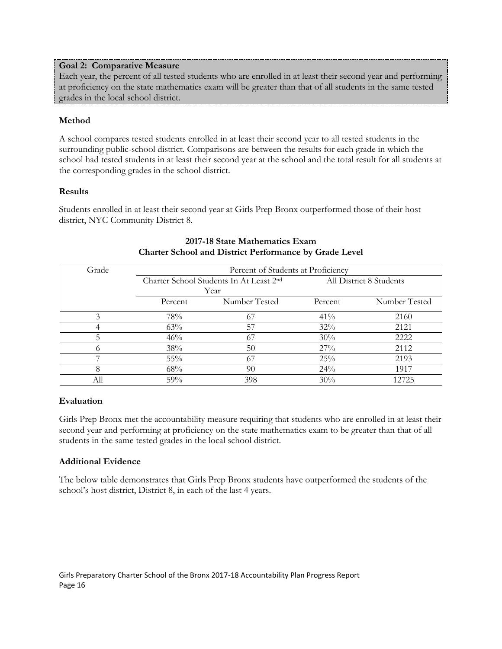# **Goal 2: Comparative Measure**

Each year, the percent of all tested students who are enrolled in at least their second year and performing at proficiency on the state mathematics exam will be greater than that of all students in the same tested grades in the local school district.

# **Method**

A school compares tested students enrolled in at least their second year to all tested students in the surrounding public-school district. Comparisons are between the results for each grade in which the school had tested students in at least their second year at the school and the total result for all students at the corresponding grades in the school district.

# **Results**

Students enrolled in at least their second year at Girls Prep Bronx outperformed those of their host district, NYC Community District 8.

| Grade | Percent of Students at Proficiency |                                         |         |                         |  |  |  |
|-------|------------------------------------|-----------------------------------------|---------|-------------------------|--|--|--|
|       |                                    | Charter School Students In At Least 2nd |         | All District 8 Students |  |  |  |
|       |                                    | Year                                    |         |                         |  |  |  |
|       | Percent                            | Number Tested                           | Percent | Number Tested           |  |  |  |
|       | 78%                                | 67                                      | $41\%$  | 2160                    |  |  |  |
|       | 63%                                | 57                                      | 32%     | 2121                    |  |  |  |
|       | 46%                                | 67                                      | 30%     | 2222                    |  |  |  |
|       | 38%                                | 50                                      | 27%     | 2112                    |  |  |  |
|       | 55%                                | 67                                      | 25%     | 2193                    |  |  |  |
|       | 68%                                | 90                                      | $24\%$  | 1917                    |  |  |  |
|       | 59%                                | 398                                     | 30%     | 12725                   |  |  |  |

# **2017-18 State Mathematics Exam Charter School and District Performance by Grade Level**

# **Evaluation**

Girls Prep Bronx met the accountability measure requiring that students who are enrolled in at least their second year and performing at proficiency on the state mathematics exam to be greater than that of all students in the same tested grades in the local school district.

# **Additional Evidence**

The below table demonstrates that Girls Prep Bronx students have outperformed the students of the school's host district, District 8, in each of the last 4 years.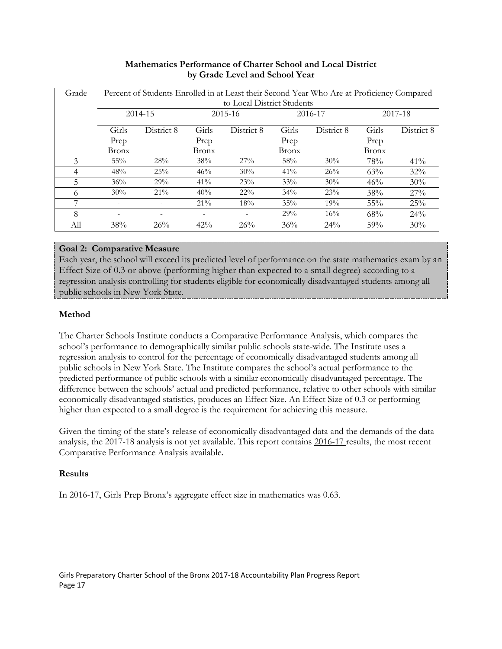| Grade |              | Percent of Students Enrolled in at Least their Second Year Who Are at Proficiency Compared |                          |            |              |            |              |            |  |  |  |
|-------|--------------|--------------------------------------------------------------------------------------------|--------------------------|------------|--------------|------------|--------------|------------|--|--|--|
|       |              | to Local District Students                                                                 |                          |            |              |            |              |            |  |  |  |
|       |              | 2014-15                                                                                    | $2015 - 16$              |            | 2016-17      |            | 2017-18      |            |  |  |  |
|       | Girls        | District 8                                                                                 | Girls                    | District 8 | Girls        | District 8 | Girls        | District 8 |  |  |  |
|       | Prep         |                                                                                            | Prep                     |            | Prep         |            | Prep         |            |  |  |  |
|       | <b>Bronx</b> |                                                                                            | <b>Bronx</b>             |            | <b>Bronx</b> |            | <b>Bronx</b> |            |  |  |  |
| 3     | 55%          | 28%                                                                                        | 38%                      | 27%        | 58%          | 30%        | 78%          | $41\%$     |  |  |  |
| 4     | 48%          | 25%                                                                                        | 46%                      | 30%        | 41%          | 26%        | 63%          | 32%        |  |  |  |
| 5     | 36%          | 29%                                                                                        | 41%                      | 23%        | 33%          | 30%        | 46%          | 30%        |  |  |  |
| 6     | 30%          | $21\%$                                                                                     | 40%                      | $22\%$     | 34%          | 23%        | 38%          | 27%        |  |  |  |
| 7     | ٠            |                                                                                            | $21\%$                   | 18%        | 35%          | 19%        | 55%          | 25%        |  |  |  |
| 8     | ۰            | $\overline{\phantom{0}}$                                                                   | $\overline{\phantom{0}}$ |            | 29%          | 16%        | 68%          | 24%        |  |  |  |
| All   | 38%          | 26%                                                                                        | 42%                      | 26%        | 36%          | 24%        | 59%          | 30%        |  |  |  |

# **Mathematics Performance of Charter School and Local District by Grade Level and School Year**

# **Goal 2: Comparative Measure**

Each year, the school will exceed its predicted level of performance on the state mathematics exam by an Effect Size of 0.3 or above (performing higher than expected to a small degree) according to a regression analysis controlling for students eligible for economically disadvantaged students among all public schools in New York State.

# **Method**

The Charter Schools Institute conducts a Comparative Performance Analysis, which compares the school's performance to demographically similar public schools state-wide. The Institute uses a regression analysis to control for the percentage of economically disadvantaged students among all public schools in New York State. The Institute compares the school's actual performance to the predicted performance of public schools with a similar economically disadvantaged percentage. The difference between the schools' actual and predicted performance, relative to other schools with similar economically disadvantaged statistics, produces an Effect Size. An Effect Size of 0.3 or performing higher than expected to a small degree is the requirement for achieving this measure.

Given the timing of the state's release of economically disadvantaged data and the demands of the data analysis, the 2017-18 analysis is not yet available. This report contains 2016-17 results, the most recent Comparative Performance Analysis available.

# **Results**

In 2016-17, Girls Prep Bronx's aggregate effect size in mathematics was 0.63.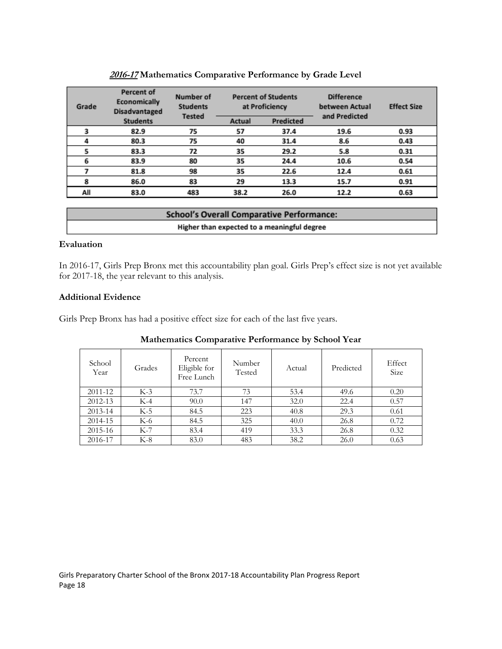| <b>Percent of</b><br>Economically<br>Grade<br><b>Disadvantaged</b> |                 | Number of<br><b>Students</b><br><b>Tested</b> |        | <b>Percent of Students</b><br>at Proficiency | <b>Difference</b><br>between Actual<br>and Predicted | <b>Effect Size</b> |
|--------------------------------------------------------------------|-----------------|-----------------------------------------------|--------|----------------------------------------------|------------------------------------------------------|--------------------|
|                                                                    | <b>Students</b> |                                               | Actual | Predicted                                    |                                                      |                    |
|                                                                    | 82.9            | 75                                            | 57     | 37.4                                         | 19.6                                                 | 0.93               |
|                                                                    | 80.3            | 75                                            | 40     | 31.4                                         | 8.6                                                  | 0.43               |
|                                                                    | 83.3            | 72                                            | 35     | 29.2                                         | 5.8                                                  | 0.31               |
| 6                                                                  | 83.9            | 80                                            | 35     | 24.4                                         | 10.6                                                 | 0.54               |
|                                                                    | 81.8            | 98                                            | 35     | 22.6                                         | 12.4                                                 | 0.61               |
|                                                                    | 86.0            | 83                                            | 29     | 13.3                                         | 15.7                                                 | 0.91               |
| All                                                                | 83.0            | 483                                           | 38.2   | 26.0                                         | 12.2                                                 | 0.63               |

# **2016-17 Mathematics Comparative Performance by Grade Level**

| <b>School's Overall Comparative Performance:</b> |  |
|--------------------------------------------------|--|
| Higher than expected to a meaningful degree      |  |

#### **Evaluation**

In 2016-17, Girls Prep Bronx met this accountability plan goal. Girls Prep's effect size is not yet available for 2017-18, the year relevant to this analysis.

# **Additional Evidence**

Girls Prep Bronx has had a positive effect size for each of the last five years.

| School<br>Year | Grades | Percent<br>Eligible for<br>Free Lunch | Number<br>Tested | Actual | Predicted | Effect<br>Size |
|----------------|--------|---------------------------------------|------------------|--------|-----------|----------------|
| 2011-12        | $K-3$  | 73.7                                  | 73               | 53.4   | 49.6      | 0.20           |
| 2012-13        | $K-4$  | 90.0                                  | 147              | 32.0   | 22.4      | 0.57           |
| 2013-14        | $K-5$  | 84.5                                  | 223              | 40.8   | 29.3      | 0.61           |
| 2014-15        | K-6    | 84.5                                  | 325              | 40.0   | 26.8      | 0.72           |
| 2015-16        | $K-7$  | 83.4                                  | 419              | 33.3   | 26.8      | 0.32           |
| 2016-17        | K-8    | 83.0                                  | 483              | 38.2   | 26.0      | 0.63           |

#### **Mathematics Comparative Performance by School Year**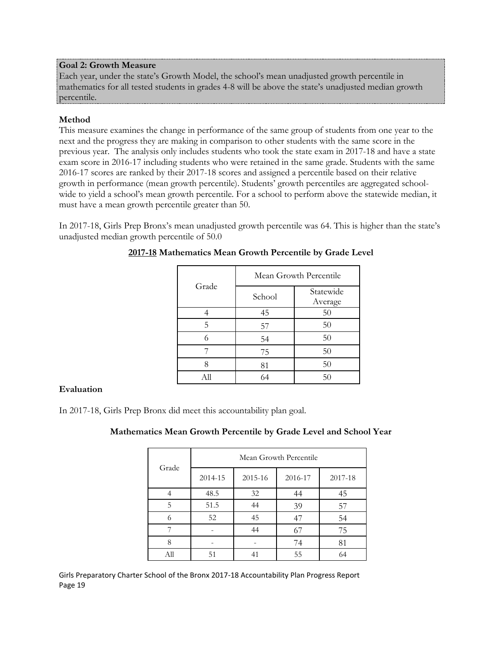#### **Goal 2: Growth Measure**

Each year, under the state's Growth Model, the school's mean unadjusted growth percentile in mathematics for all tested students in grades 4-8 will be above the state's unadjusted median growth percentile.

# **Method**

This measure examines the change in performance of the same group of students from one year to the next and the progress they are making in comparison to other students with the same score in the previous year. The analysis only includes students who took the state exam in 2017-18 and have a state exam score in 2016-17 including students who were retained in the same grade. Students with the same 2016-17 scores are ranked by their 2017-18 scores and assigned a percentile based on their relative growth in performance (mean growth percentile). Students' growth percentiles are aggregated schoolwide to yield a school's mean growth percentile. For a school to perform above the statewide median, it must have a mean growth percentile greater than 50.

In 2017-18, Girls Prep Bronx's mean unadjusted growth percentile was 64. This is higher than the state's unadjusted median growth percentile of 50.0

|       | Mean Growth Percentile |                      |  |  |
|-------|------------------------|----------------------|--|--|
| Grade | School                 | Statewide<br>Average |  |  |
|       | 45                     | 50                   |  |  |
| 5     | 57                     | 50                   |  |  |
| 6     | 54                     | 50                   |  |  |
|       | 75                     | 50                   |  |  |
|       | 81                     | 50                   |  |  |
| All   | 64                     | 50                   |  |  |

# **2017-18 Mathematics Mean Growth Percentile by Grade Level**

#### **Evaluation**

In 2017-18, Girls Prep Bronx did meet this accountability plan goal.

# **Mathematics Mean Growth Percentile by Grade Level and School Year**

| Grade | Mean Growth Percentile |         |         |         |  |  |  |
|-------|------------------------|---------|---------|---------|--|--|--|
|       | 2014-15                | 2015-16 | 2016-17 | 2017-18 |  |  |  |
|       | 48.5                   | 32      | 44      | 45      |  |  |  |
| 5     | 51.5                   | 44      | 39      | 57      |  |  |  |
| 6     | 52                     | 45      | 47      | 54      |  |  |  |
|       |                        | 44      | 67      | 75      |  |  |  |
| 8     |                        |         | 74      | 81      |  |  |  |
| Аll   | 51                     | 41      | 55      | 64      |  |  |  |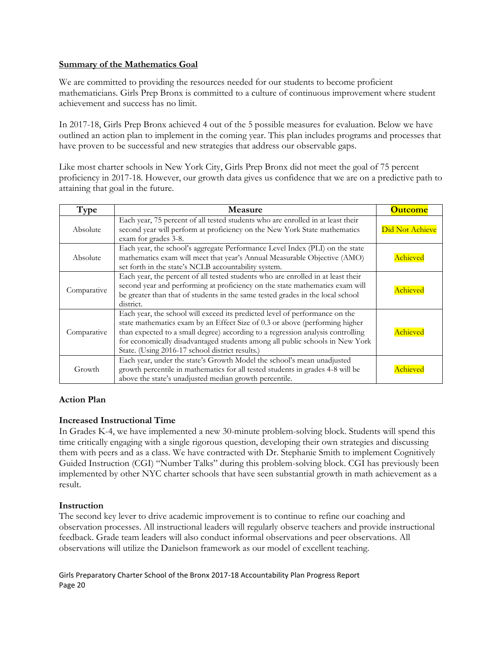# **Summary of the Mathematics Goal**

We are committed to providing the resources needed for our students to become proficient mathematicians. Girls Prep Bronx is committed to a culture of continuous improvement where student achievement and success has no limit.

In 2017-18, Girls Prep Bronx achieved 4 out of the 5 possible measures for evaluation. Below we have outlined an action plan to implement in the coming year. This plan includes programs and processes that have proven to be successful and new strategies that address our observable gaps.

Like most charter schools in New York City, Girls Prep Bronx did not meet the goal of 75 percent proficiency in 2017-18. However, our growth data gives us confidence that we are on a predictive path to attaining that goal in the future.

| Type        | <b>Measure</b>                                                                                                                                                                                                                                                                                                                                                                   | <b>Outcome</b>  |
|-------------|----------------------------------------------------------------------------------------------------------------------------------------------------------------------------------------------------------------------------------------------------------------------------------------------------------------------------------------------------------------------------------|-----------------|
| Absolute    | Each year, 75 percent of all tested students who are enrolled in at least their<br>second year will perform at proficiency on the New York State mathematics<br>exam for grades 3-8.                                                                                                                                                                                             | Did Not Achieve |
| Absolute    | Each year, the school's aggregate Performance Level Index (PLI) on the state<br>mathematics exam will meet that year's Annual Measurable Objective (AMO)<br>set forth in the state's NCLB accountability system.                                                                                                                                                                 | Achieved        |
| Comparative | Each year, the percent of all tested students who are enrolled in at least their<br>second year and performing at proficiency on the state mathematics exam will<br>be greater than that of students in the same tested grades in the local school<br>district.                                                                                                                  | Achieved        |
| Comparative | Each year, the school will exceed its predicted level of performance on the<br>state mathematics exam by an Effect Size of 0.3 or above (performing higher<br>than expected to a small degree) according to a regression analysis controlling<br>for economically disadvantaged students among all public schools in New York<br>State. (Using 2016-17 school district results.) | Achieved        |
| Growth      | Each year, under the state's Growth Model the school's mean unadjusted<br>growth percentile in mathematics for all tested students in grades 4-8 will be<br>above the state's unadjusted median growth percentile.                                                                                                                                                               | Achieved        |

# **Action Plan**

# **Increased Instructional Time**

In Grades K-4, we have implemented a new 30-minute problem-solving block. Students will spend this time critically engaging with a single rigorous question, developing their own strategies and discussing them with peers and as a class. We have contracted with Dr. Stephanie Smith to implement Cognitively Guided Instruction (CGI) "Number Talks" during this problem-solving block. CGI has previously been implemented by other NYC charter schools that have seen substantial growth in math achievement as a result.

# **Instruction**

The second key lever to drive academic improvement is to continue to refine our coaching and observation processes. All instructional leaders will regularly observe teachers and provide instructional feedback. Grade team leaders will also conduct informal observations and peer observations. All observations will utilize the Danielson framework as our model of excellent teaching.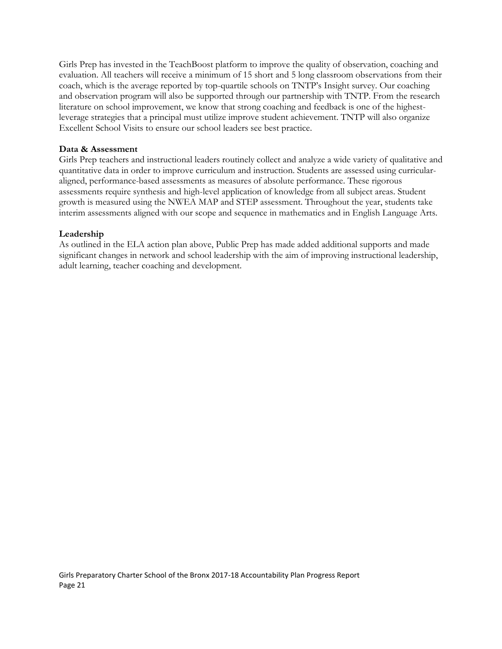Girls Prep has invested in the TeachBoost platform to improve the quality of observation, coaching and evaluation. All teachers will receive a minimum of 15 short and 5 long classroom observations from their coach, which is the average reported by top-quartile schools on TNTP's Insight survey. Our coaching and observation program will also be supported through our partnership with TNTP. From the research literature on school improvement, we know that strong coaching and feedback is one of the highestleverage strategies that a principal must utilize improve student achievement. TNTP will also organize Excellent School Visits to ensure our school leaders see best practice.

# **Data & Assessment**

Girls Prep teachers and instructional leaders routinely collect and analyze a wide variety of qualitative and quantitative data in order to improve curriculum and instruction. Students are assessed using curricularaligned, performance-based assessments as measures of absolute performance. These rigorous assessments require synthesis and high-level application of knowledge from all subject areas. Student growth is measured using the NWEA MAP and STEP assessment. Throughout the year, students take interim assessments aligned with our scope and sequence in mathematics and in English Language Arts.

# **Leadership**

As outlined in the ELA action plan above, Public Prep has made added additional supports and made significant changes in network and school leadership with the aim of improving instructional leadership, adult learning, teacher coaching and development.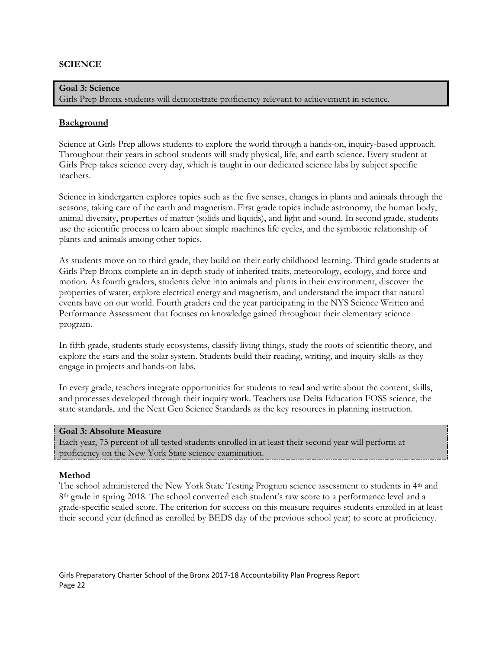#### **SCIENCE**

**Goal 3: Science** Girls Prep Bronx students will demonstrate proficiency relevant to achievement in science.

#### **Background**

Science at Girls Prep allows students to explore the world through a hands-on, inquiry-based approach. Throughout their years in school students will study physical, life, and earth science. Every student at Girls Prep takes science every day, which is taught in our dedicated science labs by subject specific teachers.

Science in kindergarten explores topics such as the five senses, changes in plants and animals through the seasons, taking care of the earth and magnetism. First grade topics include astronomy, the human body, animal diversity, properties of matter (solids and liquids), and light and sound. In second grade, students use the scientific process to learn about simple machines life cycles, and the symbiotic relationship of plants and animals among other topics.

As students move on to third grade, they build on their early childhood learning. Third grade students at Girls Prep Bronx complete an in-depth study of inherited traits, meteorology, ecology, and force and motion. As fourth graders, students delve into animals and plants in their environment, discover the properties of water, explore electrical energy and magnetism, and understand the impact that natural events have on our world. Fourth graders end the year participating in the NYS Science Written and Performance Assessment that focuses on knowledge gained throughout their elementary science program.

In fifth grade, students study ecosystems, classify living things, study the roots of scientific theory, and explore the stars and the solar system. Students build their reading, writing, and inquiry skills as they engage in projects and hands-on labs.

In every grade, teachers integrate opportunities for students to read and write about the content, skills, and processes developed through their inquiry work. Teachers use Delta Education FOSS science, the state standards, and the Next Gen Science Standards as the key resources in planning instruction.

#### **Goal 3: Absolute Measure**

Each year, 75 percent of all tested students enrolled in at least their second year will perform at proficiency on the New York State science examination.

#### **Method**

The school administered the New York State Testing Program science assessment to students in 4<sup>th</sup> and 8<sup>th</sup> grade in spring 2018. The school converted each student's raw score to a performance level and a grade-specific scaled score. The criterion for success on this measure requires students enrolled in at least their second year (defined as enrolled by BEDS day of the previous school year) to score at proficiency.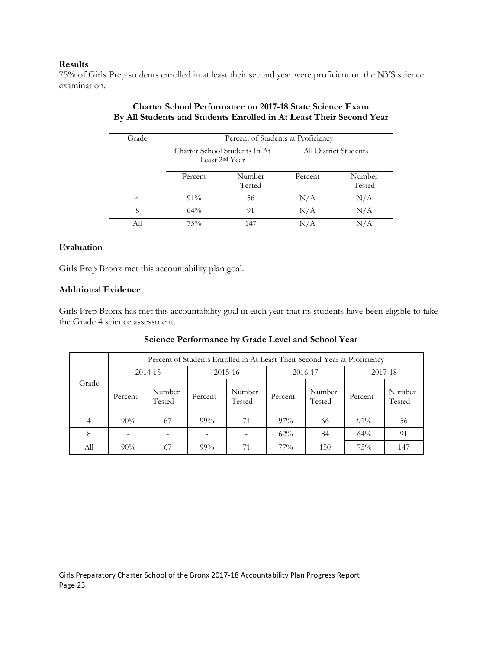#### **Results**

75% of Girls Prep students enrolled in at least their second year were proficient on the NYS science examination.

| Grade | Percent of Students at Proficiency |                               |         |                       |  |  |  |
|-------|------------------------------------|-------------------------------|---------|-----------------------|--|--|--|
|       |                                    | Charter School Students In At |         | All District Students |  |  |  |
|       |                                    | Least 2 <sup>nd</sup> Year    |         |                       |  |  |  |
|       | Percent                            | Number<br>Tested              | Percent | Number<br>Tested      |  |  |  |
|       | $91\%$                             | 56                            | N/A     | N/A                   |  |  |  |
| 8     | $64\%$                             | 91                            | N/A     | N/A                   |  |  |  |
| All   | 75%                                | 147                           | N/A     | N/A                   |  |  |  |

# **Charter School Performance on 2017-18 State Science Exam By All Students and Students Enrolled in At Least Their Second Year**

#### **Evaluation**

Girls Prep Bronx met this accountability plan goal.

#### **Additional Evidence**

Girls Prep Bronx has met this accountability goal in each year that its students have been eligible to take the Grade 4 science assessment.

|       | Percent of Students Enrolled in At Least Their Second Year at Proficiency |                          |         |                  |         |                  |         |                  |
|-------|---------------------------------------------------------------------------|--------------------------|---------|------------------|---------|------------------|---------|------------------|
|       | 2014-15                                                                   |                          | 2015-16 |                  | 2016-17 |                  | 2017-18 |                  |
| Grade | Percent                                                                   | Number<br>Tested         | Percent | Number<br>Tested | Percent | Number<br>Tested | Percent | Number<br>Tested |
|       | 90%                                                                       | 67                       | $99\%$  | 71               | $97\%$  | 66               | $91\%$  | 56               |
| 8     | $\overline{\phantom{a}}$                                                  | $\overline{\phantom{0}}$ |         |                  | $62\%$  | 84               | 64%     | 91               |
| All   | $90\%$                                                                    | 67                       | $99\%$  | 71               | $77\%$  | 150              | 75%     | 147              |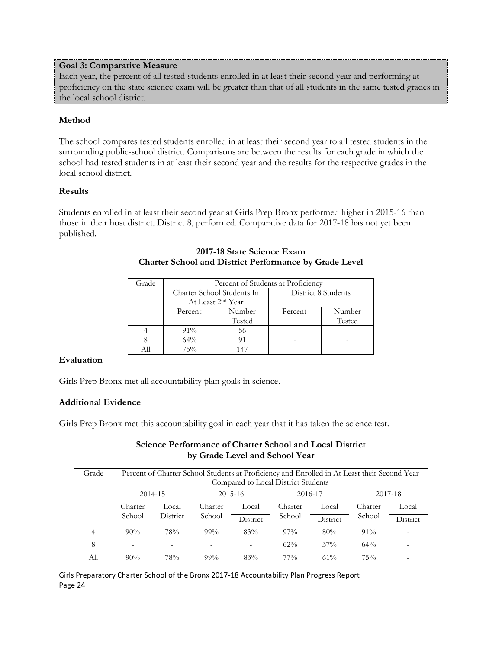# **Goal 3: Comparative Measure**

Each year, the percent of all tested students enrolled in at least their second year and performing at proficiency on the state science exam will be greater than that of all students in the same tested grades in the local school district.

# **Method**

The school compares tested students enrolled in at least their second year to all tested students in the surrounding public-school district. Comparisons are between the results for each grade in which the school had tested students in at least their second year and the results for the respective grades in the local school district.

# **Results**

Students enrolled in at least their second year at Girls Prep Bronx performed higher in 2015-16 than those in their host district, District 8, performed. Comparative data for 2017-18 has not yet been published.

| Grade | Percent of Students at Proficiency |                               |         |                     |  |  |  |
|-------|------------------------------------|-------------------------------|---------|---------------------|--|--|--|
|       |                                    | Charter School Students In    |         | District 8 Students |  |  |  |
|       |                                    | At Least 2 <sup>nd</sup> Year |         |                     |  |  |  |
|       | Number<br>Percent                  |                               | Percent | Number              |  |  |  |
|       |                                    | Tested                        |         | Tested              |  |  |  |
|       | $91\%$                             | 56                            |         |                     |  |  |  |
|       | $64\%$                             |                               |         |                     |  |  |  |
|       | 75%                                |                               |         |                     |  |  |  |

# **2017-18 State Science Exam Charter School and District Performance by Grade Level**

#### **Evaluation**

Girls Prep Bronx met all accountability plan goals in science.

# **Additional Evidence**

Girls Prep Bronx met this accountability goal in each year that it has taken the science test.

# **Science Performance of Charter School and Local District by Grade Level and School Year**

| Grade | Percent of Charter School Students at Proficiency and Enrolled in At Least their Second Year<br>Compared to Local District Students |                 |         |          |         |          |         |          |
|-------|-------------------------------------------------------------------------------------------------------------------------------------|-----------------|---------|----------|---------|----------|---------|----------|
|       |                                                                                                                                     | 2014-15         |         | 2015-16  |         | 2016-17  | 2017-18 |          |
|       | Charter                                                                                                                             | Local           | Charter | Local    | Charter | Local    | Charter | Local    |
|       | School                                                                                                                              | <b>District</b> | School  | District | School  | District | School  | District |
| 4     | $90\%$                                                                                                                              | 78%             | $99\%$  | 83%      | $97\%$  | 80%      | $91\%$  |          |
| 8     | -                                                                                                                                   | ۰               | ٠       |          | $62\%$  | $37\%$   | $64\%$  |          |
| Аll   | $90\%$                                                                                                                              | 78%             | $99\%$  | 83%      | $77\%$  | $61\%$   | 75%     |          |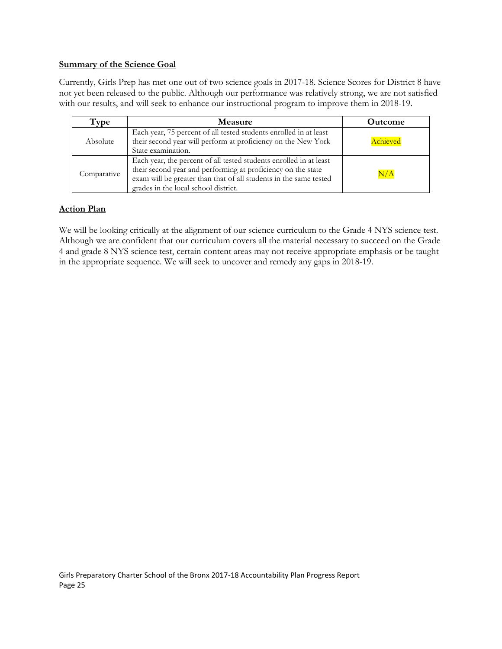#### **Summary of the Science Goal**

Currently, Girls Prep has met one out of two science goals in 2017-18. Science Scores for District 8 have not yet been released to the public. Although our performance was relatively strong, we are not satisfied with our results, and will seek to enhance our instructional program to improve them in 2018-19.

| Type        | <b>Measure</b>                                                                                                                                                                                                                                  | Outcome   |
|-------------|-------------------------------------------------------------------------------------------------------------------------------------------------------------------------------------------------------------------------------------------------|-----------|
| Absolute    | Each year, 75 percent of all tested students enrolled in at least<br>their second year will perform at proficiency on the New York<br>State examination.                                                                                        | Achieved  |
| Comparative | Each year, the percent of all tested students enrolled in at least<br>their second year and performing at proficiency on the state<br>exam will be greater than that of all students in the same tested<br>grades in the local school district. | $\rm N/A$ |

# **Action Plan**

We will be looking critically at the alignment of our science curriculum to the Grade 4 NYS science test. Although we are confident that our curriculum covers all the material necessary to succeed on the Grade 4 and grade 8 NYS science test, certain content areas may not receive appropriate emphasis or be taught in the appropriate sequence. We will seek to uncover and remedy any gaps in 2018-19.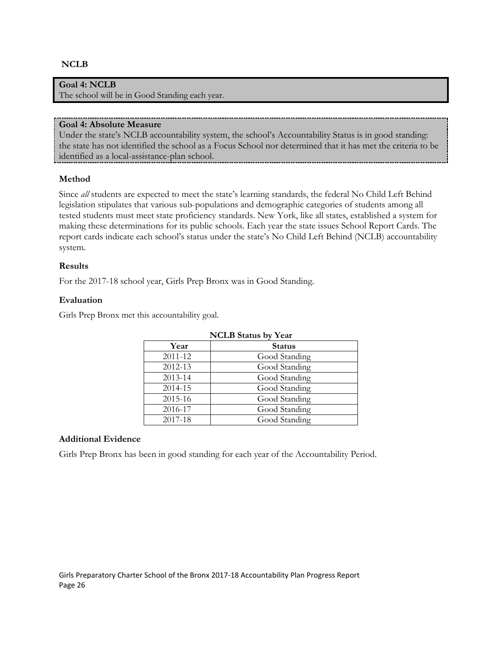#### **NCLB**

#### **Goal 4: NCLB**

The school will be in Good Standing each year.

#### **Goal 4: Absolute Measure**

Under the state's NCLB accountability system, the school's Accountability Status is in good standing: the state has not identified the school as a Focus School nor determined that it has met the criteria to be identified as a local-assistance-plan school.

#### **Method**

Since *all* students are expected to meet the state's learning standards, the federal No Child Left Behind legislation stipulates that various sub-populations and demographic categories of students among all tested students must meet state proficiency standards. New York, like all states, established a system for making these determinations for its public schools. Each year the state issues School Report Cards. The report cards indicate each school's status under the state's No Child Left Behind (NCLB) accountability system.

#### **Results**

For the 2017-18 school year, Girls Prep Bronx was in Good Standing.

#### **Evaluation**

Girls Prep Bronx met this accountability goal.

| <b>NCLB</b> Status by Year |               |  |  |  |  |
|----------------------------|---------------|--|--|--|--|
| Year                       | <b>Status</b> |  |  |  |  |
| 2011-12                    | Good Standing |  |  |  |  |
| 2012-13                    | Good Standing |  |  |  |  |
| 2013-14                    | Good Standing |  |  |  |  |
| 2014-15                    | Good Standing |  |  |  |  |
| 2015-16                    | Good Standing |  |  |  |  |
| 2016-17                    | Good Standing |  |  |  |  |
| 2017-18                    | Good Standing |  |  |  |  |

#### **Additional Evidence**

Girls Prep Bronx has been in good standing for each year of the Accountability Period.